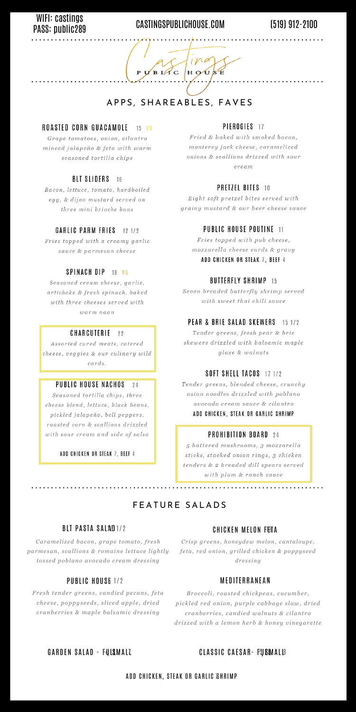## FEATURE SALADS

### BLT PASTA SALAED 1/2

### CHICKEN MELON FETA

*Caramelized bacon, grape tomato, fresh parmesan, scallions & romaine lettuce lightly tossed poblano avocado cream dressing*

### PUBLIC HOUSE 1/2

*Fresh tender greens, candied pecans, feta cheese, poppyseeds, sliced apple, dried cranberries & maple balsamic dressing*

*Crisp greens, honeydew melon, cantaloupe, feta, red onion, grilled chicken & poppyseed dressing*

### MEDITERRANEAN

*Broccoli, roasted chickpeas, cucumber, pickled red onion, purple cabbage slaw, dried cranberries, candied walnuts & cilantro drizzed with a lemon herb & honey vinegarette*

### GARDEN SALAD - FULSMALL

### CLASSIC CAESAR- FUSIMALI8

### ADD CHICKEN, STEAK OR GARLIC BHRIMP

# PASS: public289

## WIFI: Castings<br>

## APPS, SHAREABLES, FAVES

 $H O U$ 

B LAC

 ${\bf P}$ 

#### ROASTED CORN GUACAMOLE  $15$  VG

Grape tomatoes, onion, cilantro minced jalapeño & feta with warm seasoned tortilla chips

#### **BLT SLIDERS** 16

Bacon, lettuce, tomato, hardboiled egg, & dijon mustard served on three mini brioche buns

#### GARLIC PARM FRIES  $121/2$

Fries topped with a creamy garlic sauce & parmesan cheese

### PIEROGIES 17

Fried & baked with smoked bacon, monterey jack cheese, caramelized onions & scallions drizzed with sour cream

### **PRETZEL BITES 10**

Eight soft pretzel bites served with grainy mustard & our beer cheese sauce

### **PUBLIC HOUSE POUTINE 11**

Fries topped with pub cheese, mozzarella cheese curds & gravy ADD CHICKEN OR STEAK 7, BEEF 4

### SPINACH DIP 18 VG

Seasoned cream cheese, garlic, artichoke & fresh spinach, baked with three cheeses served with warm naan

#### CHARCUTERIE  $22$

Assorted cured meats, catered cheese, veggies & our culinary wild cards.

#### PUBLIC HOUSE NACHOS 24

Seasoned tortilla chips, three cheese blend, lettuce, black beans, pickled jalapeño, bell peppers, roasted corn & scallions drizzled with sour cream and side of salsa

### ADD CHICKEN OR STEAK 7, BEEF 4

### **BUTTERFLY SHRIMP 15**

Seven breaded butterfly shrimp served with sweet thai chili sauce

#### PEAR & BRIE SALAD SKEWERS  $151/2$

Tender greens, fresh pear & brie skewers drizzled with balsamic maple glaze & walnuts

### **SOFT SHELL TACOS** 17 1/2

Tender greens, blended cheese, crunchy asian noodles drizzled with poblano avocado cream sauce & cilantro ADD CHICKEN, STEAK OR GARLIC SHRIMP

### **PROHIBITION BOARD** 24

5 battered mushrooms, 3 mozzarella sticks, stacked onion rings, 3 chicken tenders & 2 breaded dill spears served with plum & ranch sauce

## (519) 912-2100